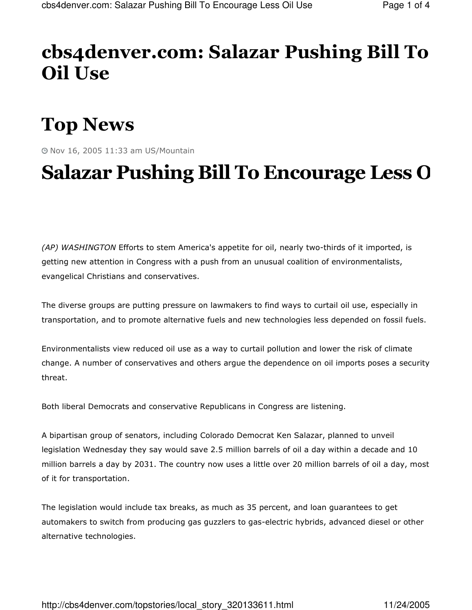### cbs4denver.com: Salazar Pushing Bill To **Oil Use**

# **Top News**

@ Nov 16, 2005 11:33 am US/Mountain

## **Salazar Pushing Bill To Encourage Less O**

(AP) WASHINGTON Efforts to stem America's appetite for oil, nearly two-thirds of it imported, is getting new attention in Congress with a push from an unusual coalition of environmentalists, evangelical Christians and conservatives.

The diverse groups are putting pressure on lawmakers to find ways to curtail oil use, especially in transportation, and to promote alternative fuels and new technologies less depended on fossil fuels.

Environmentalists view reduced oil use as a way to curtail pollution and lower the risk of climate change. A number of conservatives and others argue the dependence on oil imports poses a security threat.

Both liberal Democrats and conservative Republicans in Congress are listening.

A bipartisan group of senators, including Colorado Democrat Ken Salazar, planned to unveil legislation Wednesday they say would save 2.5 million barrels of oil a day within a decade and 10 million barrels a day by 2031. The country now uses a little over 20 million barrels of oil a day, most of it for transportation.

The legislation would include tax breaks, as much as 35 percent, and loan guarantees to get automakers to switch from producing gas guzzlers to gas-electric hybrids, advanced diesel or other alternative technologies.

http://cbs4denver.com/topstories/local\_story\_320133611.html

11/24/2005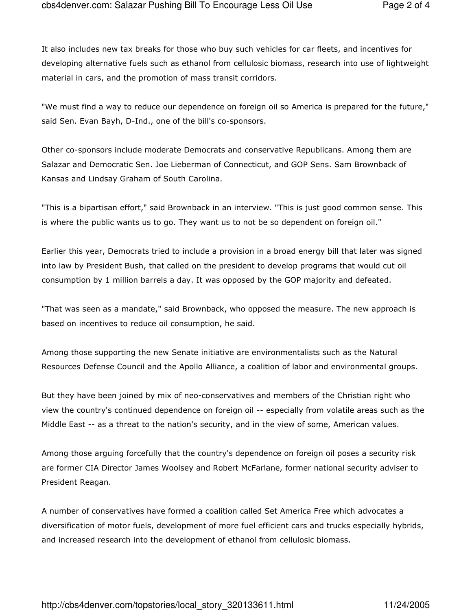It also includes new tax breaks for those who buy such vehicles for car fleets, and incentives for developing alternative fuels such as ethanol from cellulosic biomass, research into use of lightweight material in cars, and the promotion of mass transit corridors.

"We must find a way to reduce our dependence on foreign oil so America is prepared for the future," said Sen. Evan Bayh, D-Ind., one of the bill's co-sponsors.

Other co-sponsors include moderate Democrats and conservative Republicans. Among them are Salazar and Democratic Sen. Joe Lieberman of Connecticut, and GOP Sens. Sam Brownback of Kansas and Lindsay Graham of South Carolina.

"This is a bipartisan effort," said Brownback in an interview. "This is just good common sense. This is where the public wants us to go. They want us to not be so dependent on foreign oil."

Earlier this year, Democrats tried to include a provision in a broad energy bill that later was signed into law by President Bush, that called on the president to develop programs that would cut oil consumption by 1 million barrels a day. It was opposed by the GOP majority and defeated.

"That was seen as a mandate," said Brownback, who opposed the measure. The new approach is based on incentives to reduce oil consumption, he said.

Among those supporting the new Senate initiative are environmentalists such as the Natural Resources Defense Council and the Apollo Alliance, a coalition of labor and environmental groups.

But they have been joined by mix of neo-conservatives and members of the Christian right who view the country's continued dependence on foreign oil -- especially from volatile areas such as the Middle East -- as a threat to the nation's security, and in the view of some, American values.

Among those arguing forcefully that the country's dependence on foreign oil poses a security risk are former CIA Director James Woolsey and Robert McFarlane, former national security adviser to President Reagan.

A number of conservatives have formed a coalition called Set America Free which advocates a diversification of motor fuels, development of more fuel efficient cars and trucks especially hybrids, and increased research into the development of ethanol from cellulosic biomass.

http://cbs4denver.com/topstories/local\_story\_320133611.html

11/24/2005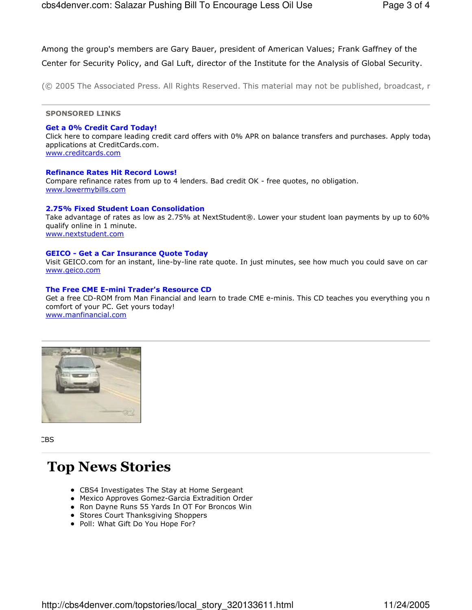Among the group's members are Gary Bauer, president of American Values; Frank Gaffney of the

Center for Security Policy, and Gal Luft, director of the Institute for the Analysis of Global Security.

(© 2005 The Associated Press. All Rights Reserved. This material may not be published, broadcast, r

**SPONSORED LINKS** 

#### **Get a 0% Credit Card Today!**

Click here to compare leading credit card offers with 0% APR on balance transfers and purchases. Apply today applications at CreditCards.com. www.creditcards.com

#### **Refinance Rates Hit Record Lows!**

Compare refinance rates from up to 4 lenders. Bad credit OK - free quotes, no obligation. www.lowermybills.com

#### 2.75% Fixed Student Loan Consolidation

Take advantage of rates as low as 2.75% at NextStudent®. Lower your student loan payments by up to 60% qualify online in 1 minute. www.nextstudent.com

#### **GEICO - Get a Car Insurance Quote Today**

Visit GEICO.com for an instant, line-by-line rate quote. In just minutes, see how much you could save on car www.geico.com

#### The Free CME E-mini Trader's Resource CD

Get a free CD-ROM from Man Financial and learn to trade CME e-minis. This CD teaches you everything you n comfort of your PC. Get yours today! www.manfinancial.com



CBS

### **Top News Stories**

- CBS4 Investigates The Stay at Home Sergeant
- Mexico Approves Gomez-Garcia Extradition Order
- Ron Dayne Runs 55 Yards In OT For Broncos Win
- Stores Court Thanksgiving Shoppers
- Poll: What Gift Do You Hope For?